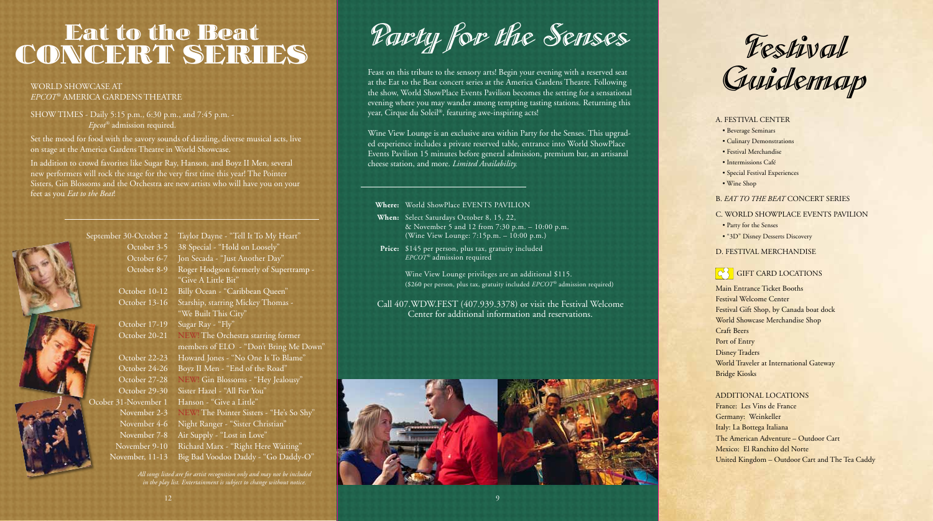# NOERT SERI COINCERT SERIES SERIES

## SHOW TIMES - Daily 5:15 p.m., 6:30 p.m., and 7:45 p.m. - *Epcot®* admission required.

Set the mood for food with the savory sounds of dazzling, diverse musical acts, live on stage at the America Gardens Theatre in World Showcase.

In addition to crowd favorites like Sugar Ray, Hanson, and Boyz II Men, several new performers will rock the stage for the very first time this year! The Pointer Sisters, Gin Blossoms and the Orchestra are new artists who will have you on your feet as you *Eat to the Beat*!

# September 30-October 2 Taylor Dayne - "Tell It To My Heart" October 3-5 38 Special - "Hold on Loosely" October 6-7 Jon Secada - "Just Another Day" October 8-9 Roger Hodgson formerly of Supertramp -"Give A Little Bit" October 10-12 Billy Ocean - "Caribbean Queen" October 13-16 Starship, starring Mickey Thomas - "We Built This City" October 17-19 Sugar Ray - "Fly" October 20-21 NEW! The Orchestra starring former members of ELO - "Don't Bring Me Down" October 22-23 Howard Jones - "No One Is To Blame" October 24-26 Boyz II Men - "End of the Road" October 27-28 NEW! Gin Blossoms - "Hey Jealousy" October 29-30 Sister Hazel - "All For You" Ocober 31-November 1 Hanson - "Give a Little" November 2-3 NEW! The Pointer Sisters - "He's So Shy" November 4-6 Night Ranger - "Sister Christian" November 7-8 Air Supply - "Lost in Love" November 9-10 Richard Marx - "Right Here Waiting" November, 11-13 Big Bad Voodoo Daddy - "Go Daddy-O"

*All songs listed are for artist recognition only and may not be included in the play list. Entertainment is subject to change without notice.*

Party for the Senses

WORLD SHOWCASE AT<br>*EPCOT®* AMERICA GARDENS THEATRE to the Search State of the Search Concert series at the America Gardens Theatre. Tonowing<br>evening where you may wander among tempting tasting for a sensational<br>SHOW TIMES Feast on this tribute to the sensory arts! Begin your evening with a reserved seat at the Eat to the Beat concert series at the America Gardens Theatre. Following the show, World ShowPlace Events Pavilion becomes the setting for a sensational evening where you may wander among tempting tasting stations. Returning this year, Cirque du Soleil®, featuring awe-inspiring acts!

> Wine View Lounge is an exclusive area within Party for the Senses. This upgraded experience includes a private reserved table, entrance into World ShowPlace Events Pavilion 15 minutes before general admission, premium bar, an artisanal cheese station, and more. *Limited Availability.*

#### **Where:** World ShowPlace EVENTS PAVILION

- When: Select Saturdays October 8, 15, 22, & November 5 and 12 from 7:30 p.m. – 10:00 p.m. (Wine View Lounge: 7:15p.m. – 10:00 p.m.)
- Price: \$145 per person, plus tax, gratuity included *EPCOT®* admission required

 Wine View Lounge privileges are an additional \$115. (\$260 per person, plus tax, gratuity included *EPCOT®* admission required)

Call 407.WDW.FEST (407.939.3378) or visit the Festival Welcome Center for additional information and reservations.





A. FESTIVAL CENTER

- Beverage Seminars
- Culinary Demonstrations
- Festival Merchandise
- Intermissions Café
- Special Festival Experiences
- Wine Shop

### B. *EAT TO THE BEAT* CONCERT SERIES

#### C. WORLD SHOWPLACE EVENTS PAVILION

- Party for the Senses
- "3D" Disney Desserts Discovery

### D. FESTIVAL MERCHANDISE

# *G* GIFT CARD LOCATIONS

Main Entrance Ticket Booths Festival Welcome Center Festival Gift Shop, by Canada boat dock World Showcase Merchandise Shop Craft Beers Port of Entry Disney Traders World Traveler at International Gateway Bridge Kiosks

#### ADDITIONAL locations

France: Les Vins de France Germany: Weinkeller Italy: La Bottega Italiana The American Adventure – Outdoor Cart Mexico: El Ranchito del Norte United Kingdom – Outdoor Cart and The Tea Caddy